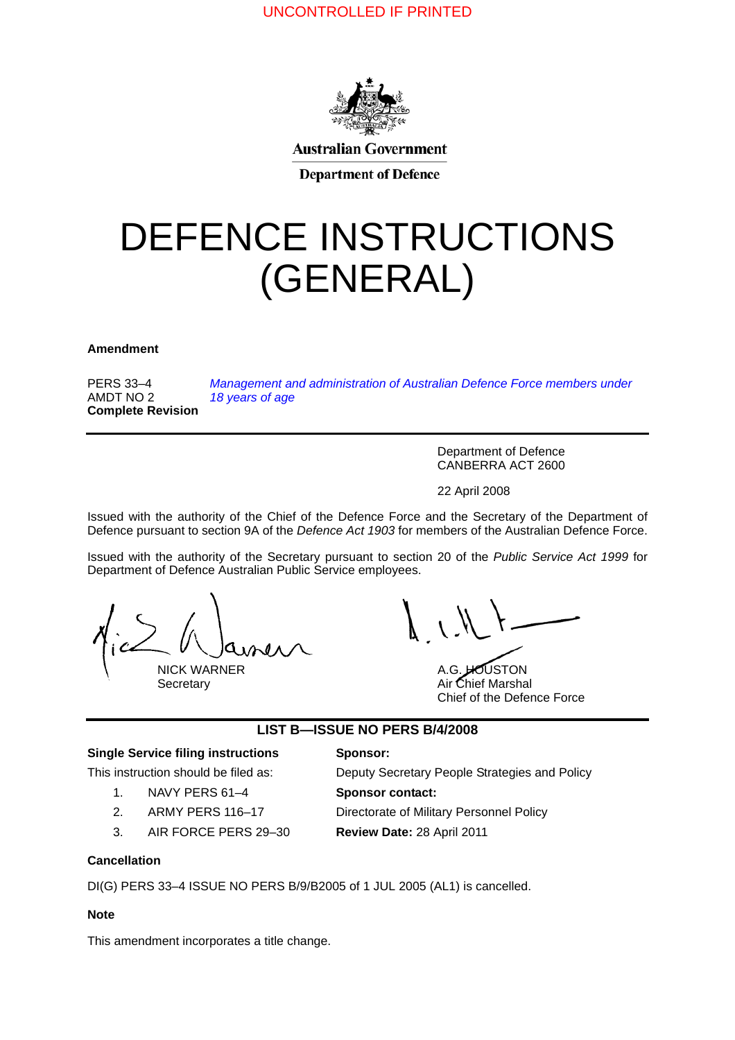# UNCONTROLLED IF PRINTED



**Australian Government** 

**Department of Defence** 

# DEFENCE INSTRUCTIONS (GENERAL)

**Amendment <sup>0</sup>**

PERS 33–4 AMDT NO 2 **Complete Revision** *[Management and administration of Australian Defence Force members under](#page-2-0)  [18 years of age](#page-2-0)*

> Department of Defence CANBERRA ACT 2600

22 April 2008

Issued with the authority of the Chief of the Defence Force and the Secretary of the Department of Defence pursuant to section 9A of the *Defence Act 1903* for members of the Australian Defence Force.

Issued with the authority of the Secretary pursuant to section 20 of the *Public Service Act 1999* for Department of Defence Australian Public Service employees.

NICK WARNER A.G. HOUSTON

Secretary **Air Chief Marshal** Chief of the Defence Force

### **LIST B—ISSUE NO PERS B/4/2008**

### **Single Service filing instructions Sponsor:**

- 1. NAVY PERS 61–4 **Sponsor contact:**
- 
- 3. AIR FORCE PERS 29–30 **Review Date:** 28 April 2011

This instruction should be filed as: Deputy Secretary People Strategies and Policy

2. ARMY PERS 116–17 Directorate of Military Personnel Policy

### **Cancellation <sup>1</sup>**

DI(G) PERS 33–4 ISSUE NO PERS B/9/B2005 of 1 JUL 2005 (AL1) is cancelled.

#### **Note <sup>2</sup>**

This amendment incorporates a title change.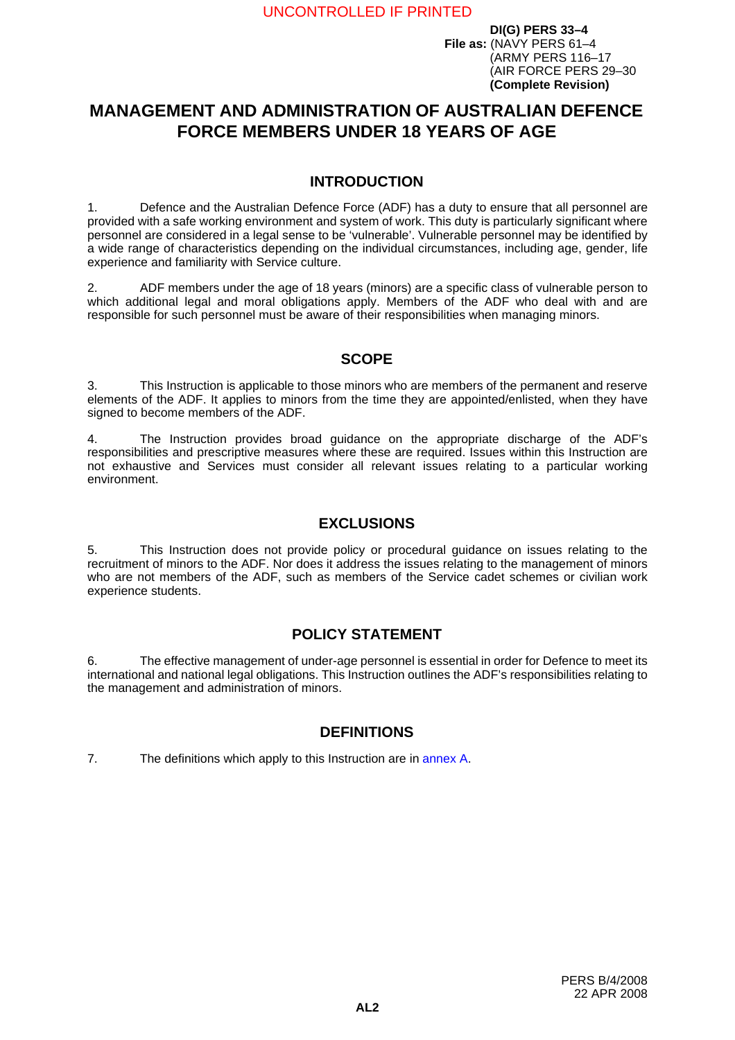# <span id="page-2-0"></span>**MANAGEMENT AND ADMINISTRATION OF AUSTRALIAN DEFENCE FORCE MEMBERS UNDER 18 YEARS OF AGE**

# **INTRODUCTION <sup>1</sup>**

1. Defence and the Australian Defence Force (ADF) has a duty to ensure that all personnel are provided with a safe working environment and system of work. This duty is particularly significant where personnel are considered in a legal sense to be 'vulnerable'. Vulnerable personnel may be identified by a wide range of characteristics depending on the individual circumstances, including age, gender, life experience and familiarity with Service culture.

2. ADF members under the age of 18 years (minors) are a specific class of vulnerable person to which additional legal and moral obligations apply. Members of the ADF who deal with and are responsible for such personnel must be aware of their responsibilities when managing minors.

# **SCOPE <sup>3</sup>**

3. This Instruction is applicable to those minors who are members of the permanent and reserve elements of the ADF. It applies to minors from the time they are appointed/enlisted, when they have signed to become members of the ADF.

4. The Instruction provides broad guidance on the appropriate discharge of the ADF's responsibilities and prescriptive measures where these are required. Issues within this Instruction are not exhaustive and Services must consider all relevant issues relating to a particular working environment.

# **EXCLUSIONS**

5. This Instruction does not provide policy or procedural guidance on issues relating to the recruitment of minors to the ADF. Nor does it address the issues relating to the management of minors who are not members of the ADF, such as members of the Service cadet schemes or civilian work experience students.

# **POLICY STATEMENT <sup>6</sup>**

6. The effective management of under-age personnel is essential in order for Defence to meet its international and national legal obligations. This Instruction outlines the ADF's responsibilities relating to the management and administration of minors.

# **DEFINITIONS <sup>7</sup>**

7. The definitions which apply to this Instruction are in [annex](#page-12-0) A.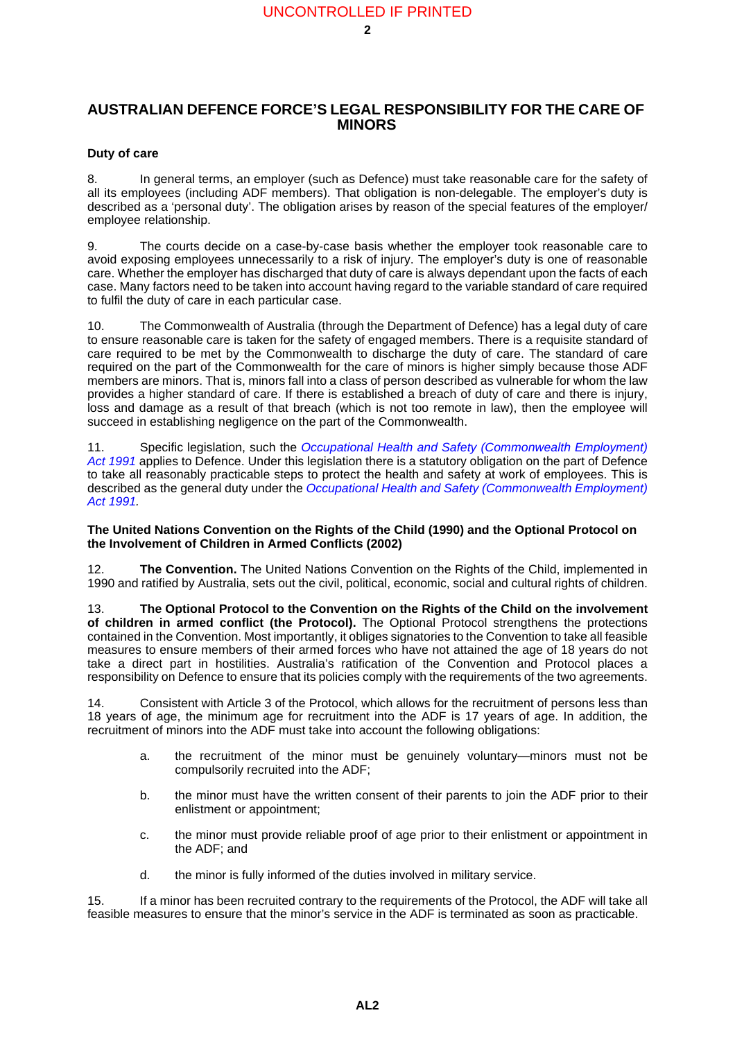### **AUSTRALIAN DEFENCE FORCE'S LEGAL RESPONSIBILITY FOR THE CARE OF MINORS <sup>8</sup>**

#### **Duty of care**

8. In general terms, an employer (such as Defence) must take reasonable care for the safety of all its employees (including ADF members). That obligation is non-delegable. The employer's duty is described as a 'personal duty'. The obligation arises by reason of the special features of the employer/ employee relationship.

9. The courts decide on a case-by-case basis whether the employer took reasonable care to avoid exposing employees unnecessarily to a risk of injury. The employer's duty is one of reasonable care. Whether the employer has discharged that duty of care is always dependant upon the facts of each case. Many factors need to be taken into account having regard to the variable standard of care required to fulfil the duty of care in each particular case.

10. The Commonwealth of Australia (through the Department of Defence) has a legal duty of care to ensure reasonable care is taken for the safety of engaged members. There is a requisite standard of care required to be met by the Commonwealth to discharge the duty of care. The standard of care required on the part of the Commonwealth for the care of minors is higher simply because those ADF members are minors. That is, minors fall into a class of person described as vulnerable for whom the law provides a higher standard of care. If there is established a breach of duty of care and there is injury, loss and damage as a result of that breach (which is not too remote in law), then the employee will succeed in establishing negligence on the part of the Commonwealth.

11. Specific legislation, such the *[Occupational Health and Safety \(Commonwealth Employment\)](http://www.austlii.edu.au/au/legis/cth/num_act/ohasea1991531/) [Act 1991](http://www.austlii.edu.au/au/legis/cth/num_act/ohasea1991531/)* applies to Defence. Under this legislation there is a statutory obligation on the part of Defence to take all reasonably practicable steps to protect the health and safety at work of employees. This is described as the general duty under the *[Occupational Health and Safety \(Commonwealth Employment\)](http://www.austlii.edu.au/au/legis/cth/num_act/ohasea1991531/) [Act 1991](http://www.austlii.edu.au/au/legis/cth/num_act/ohasea1991531/).*

#### **The United Nations Convention on the Rights of the Child (1990) and the Optional Protocol on the Involvement of Children in Armed Conflicts (2002) <sup>12</sup>**

12. **The Convention.** The United Nations Convention on the Rights of the Child, implemented in 1990 and ratified by Australia, sets out the civil, political, economic, social and cultural rights of children.

13. **The Optional Protocol to the Convention on the Rights of the Child on the involvement of children in armed conflict (the Protocol).** The Optional Protocol strengthens the protections contained in the Convention. Most importantly, it obliges signatories to the Convention to take all feasible measures to ensure members of their armed forces who have not attained the age of 18 years do not take a direct part in hostilities. Australia's ratification of the Convention and Protocol places a responsibility on Defence to ensure that its policies comply with the requirements of the two agreements.

14. Consistent with Article 3 of the Protocol, which allows for the recruitment of persons less than 18 years of age, the minimum age for recruitment into the ADF is 17 years of age. In addition, the recruitment of minors into the ADF must take into account the following obligations:

- a. the recruitment of the minor must be genuinely voluntary—minors must not be compulsorily recruited into the ADF;
- b. the minor must have the written consent of their parents to join the ADF prior to their enlistment or appointment;
- c. the minor must provide reliable proof of age prior to their enlistment or appointment in the ADF; and
- d. the minor is fully informed of the duties involved in military service.

15. If a minor has been recruited contrary to the requirements of the Protocol, the ADF will take all feasible measures to ensure that the minor's service in the ADF is terminated as soon as practicable.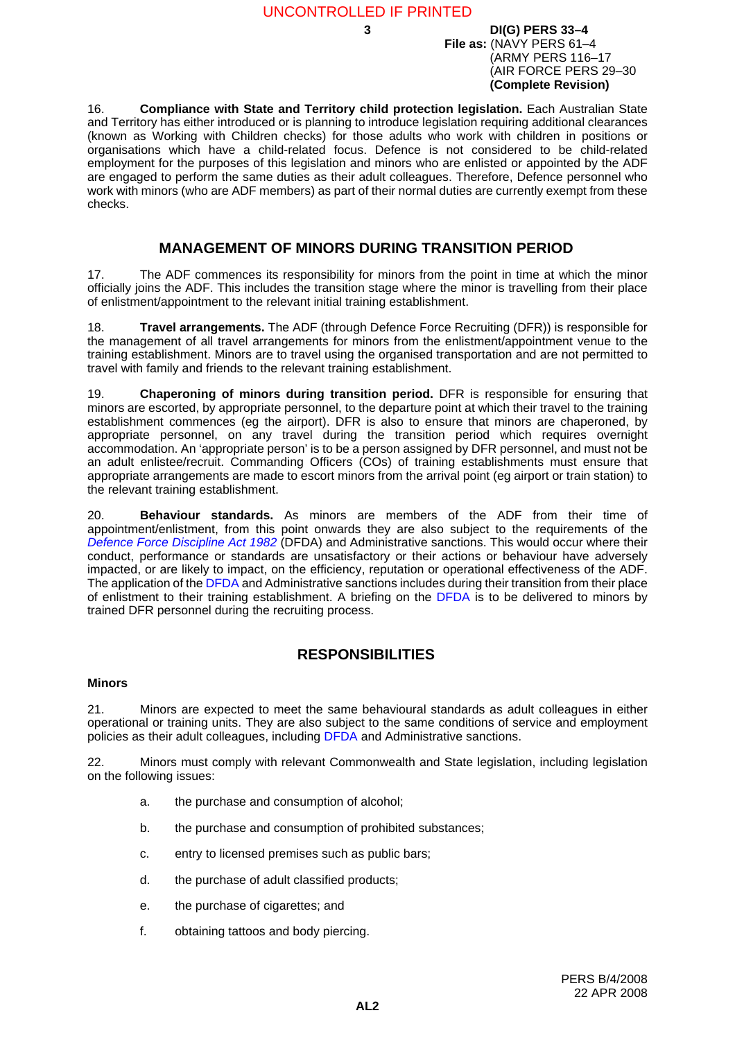16. **Compliance with State and Territory child protection legislation.** Each Australian State and Territory has either introduced or is planning to introduce legislation requiring additional clearances (known as Working with Children checks) for those adults who work with children in positions or organisations which have a child-related focus. Defence is not considered to be child-related employment for the purposes of this legislation and minors who are enlisted or appointed by the ADF are engaged to perform the same duties as their adult colleagues. Therefore, Defence personnel who work with minors (who are ADF members) as part of their normal duties are currently exempt from these checks.

# **MANAGEMENT OF MINORS DURING TRANSITION PERIOD <sup>17</sup>**

17. The ADF commences its responsibility for minors from the point in time at which the minor officially joins the ADF. This includes the transition stage where the minor is travelling from their place of enlistment/appointment to the relevant initial training establishment.

18. **Travel arrangements.** The ADF (through Defence Force Recruiting (DFR)) is responsible for the management of all travel arrangements for minors from the enlistment/appointment venue to the training establishment. Minors are to travel using the organised transportation and are not permitted to travel with family and friends to the relevant training establishment.

19. **Chaperoning of minors during transition period.** DFR is responsible for ensuring that minors are escorted, by appropriate personnel, to the departure point at which their travel to the training establishment commences (eg the airport). DFR is also to ensure that minors are chaperoned, by appropriate personnel, on any travel during the transition period which requires overnight accommodation. An 'appropriate person' is to be a person assigned by DFR personnel, and must not be an adult enlistee/recruit. Commanding Officers (COs) of training establishments must ensure that appropriate arrangements are made to escort minors from the arrival point (eg airport or train station) to the relevant training establishment.

20. **Behaviour standards.** As minors are members of the ADF from their time of appointment/enlistment, from this point onwards they are also subject to the requirements of the *[Defence Force Discipline Act 1982](http://www.austlii.edu.au/au/legis/cth/consol_act/dfda1982188/)* (DFDA) and Administrative sanctions. This would occur where their conduct, performance or standards are unsatisfactory or their actions or behaviour have adversely impacted, or are likely to impact, on the efficiency, reputation or operational effectiveness of the ADF. The application of the [DFDA](http://www.austlii.edu.au/au/legis/cth/consol_act/dfda1982188/) and Administrative sanctions includes during their transition from their place of enlistment to their training establishment. A briefing on the [DFDA](http://www.austlii.edu.au/au/legis/cth/consol_act/dfda1982188/) is to be delivered to minors by trained DFR personnel during the recruiting process.

### **RESPONSIBILITIES <sup>21</sup>**

#### **Minors <sup>21</sup>**

21. Minors are expected to meet the same behavioural standards as adult colleagues in either operational or training units. They are also subject to the same conditions of service and employment policies as their adult colleagues, including [DFDA](http://www.austlii.edu.au/au/legis/cth/consol_act/dfda1982188/) and Administrative sanctions.

22. Minors must comply with relevant Commonwealth and State legislation, including legislation on the following issues:

- a. the purchase and consumption of alcohol;
- b. the purchase and consumption of prohibited substances;
- c. entry to licensed premises such as public bars;
- d. the purchase of adult classified products;
- e. the purchase of cigarettes; and
- f. obtaining tattoos and body piercing.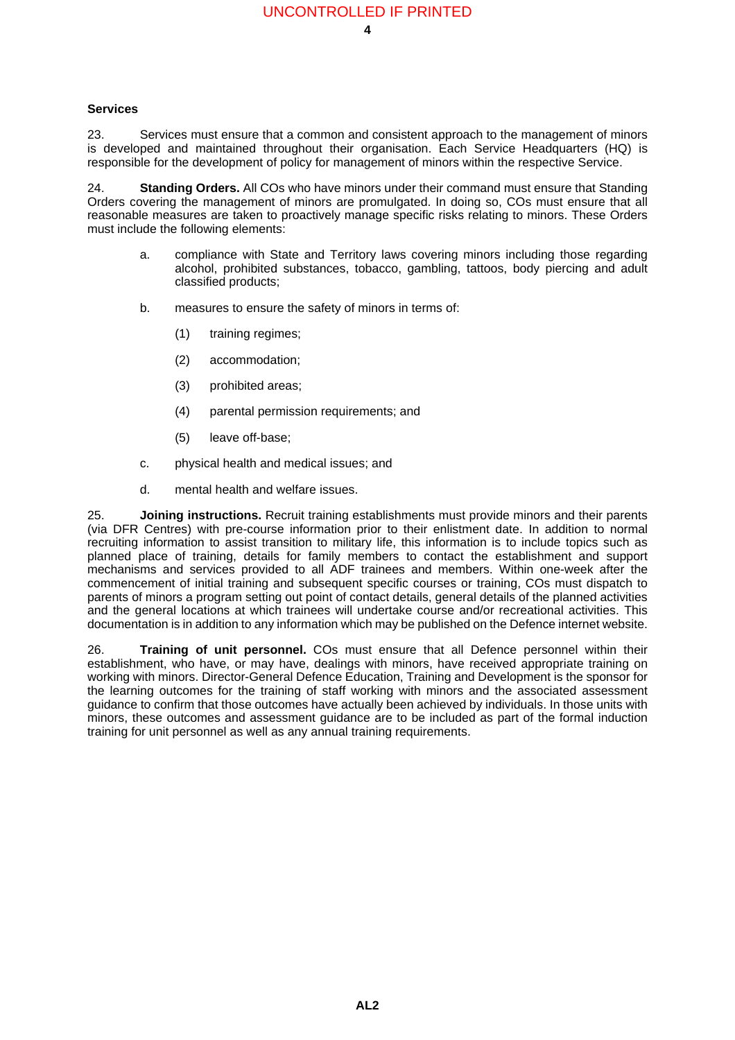#### **Services <sup>23</sup>**

23. Services must ensure that a common and consistent approach to the management of minors is developed and maintained throughout their organisation. Each Service Headquarters (HQ) is responsible for the development of policy for management of minors within the respective Service.

<span id="page-5-0"></span>24. **Standing Orders.** All COs who have minors under their command must ensure that Standing Orders covering the management of minors are promulgated. In doing so, COs must ensure that all reasonable measures are taken to proactively manage specific risks relating to minors. These Orders must include the following elements:

- a. compliance with State and Territory laws covering minors including those regarding alcohol, prohibited substances, tobacco, gambling, tattoos, body piercing and adult classified products;
- b. measures to ensure the safety of minors in terms of:
	- (1) training regimes;
	- (2) accommodation;
	- (3) prohibited areas;
	- (4) parental permission requirements; and
	- (5) leave off-base;
- c. physical health and medical issues; and
- d. mental health and welfare issues.

25. **Joining instructions.** Recruit training establishments must provide minors and their parents (via DFR Centres) with pre-course information prior to their enlistment date. In addition to normal recruiting information to assist transition to military life, this information is to include topics such as planned place of training, details for family members to contact the establishment and support mechanisms and services provided to all ADF trainees and members. Within one-week after the commencement of initial training and subsequent specific courses or training, COs must dispatch to parents of minors a program setting out point of contact details, general details of the planned activities and the general locations at which trainees will undertake course and/or recreational activities. This documentation is in addition to any information which may be published on the Defence internet website.

26. **Training of unit personnel.** COs must ensure that all Defence personnel within their establishment, who have, or may have, dealings with minors, have received appropriate training on working with minors. Director-General Defence Education, Training and Development is the sponsor for the learning outcomes for the training of staff working with minors and the associated assessment guidance to confirm that those outcomes have actually been achieved by individuals. In those units with minors, these outcomes and assessment guidance are to be included as part of the formal induction training for unit personnel as well as any annual training requirements.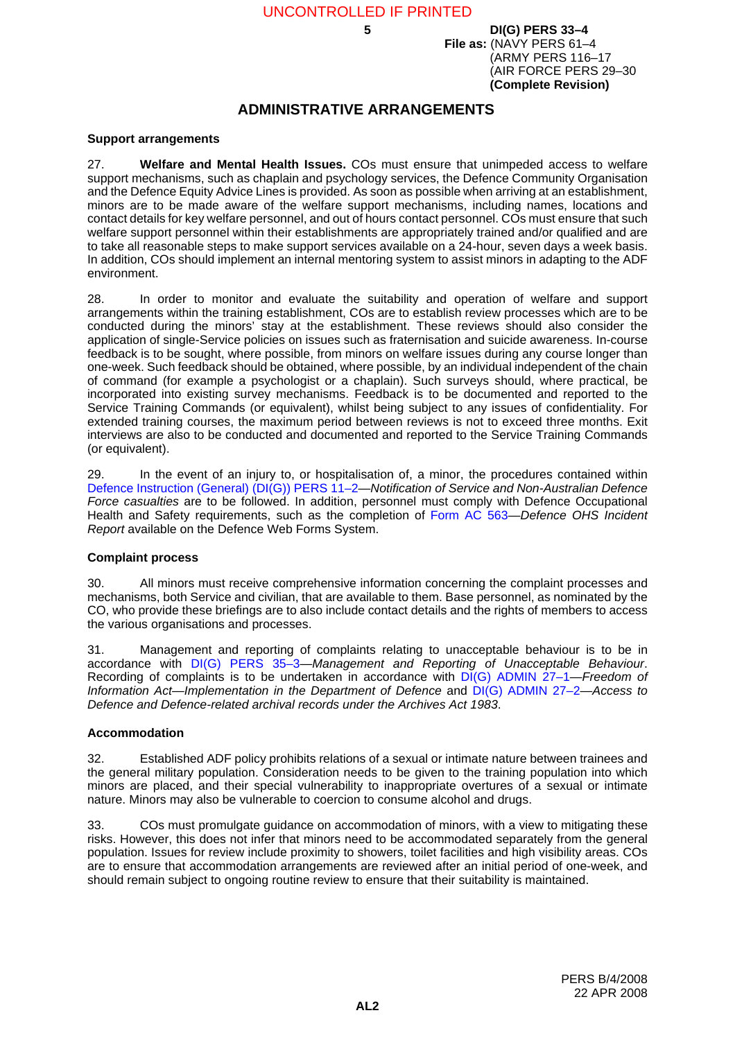# **ADMINISTRATIVE ARRANGEMENTS <sup>27</sup>**

#### **Support arrangements <sup>27</sup>**

27. **Welfare and Mental Health Issues.** COs must ensure that unimpeded access to welfare support mechanisms, such as chaplain and psychology services, the Defence Community Organisation and the Defence Equity Advice Lines is provided. As soon as possible when arriving at an establishment, minors are to be made aware of the welfare support mechanisms, including names, locations and contact details for key welfare personnel, and out of hours contact personnel. COs must ensure that such welfare support personnel within their establishments are appropriately trained and/or qualified and are to take all reasonable steps to make support services available on a 24-hour, seven days a week basis. In addition, COs should implement an internal mentoring system to assist minors in adapting to the ADF environment.

28. In order to monitor and evaluate the suitability and operation of welfare and support arrangements within the training establishment, COs are to establish review processes which are to be conducted during the minors' stay at the establishment. These reviews should also consider the application of single-Service policies on issues such as fraternisation and suicide awareness. In-course feedback is to be sought, where possible, from minors on welfare issues during any course longer than one-week. Such feedback should be obtained, where possible, by an individual independent of the chain of command (for example a psychologist or a chaplain). Such surveys should, where practical, be incorporated into existing survey mechanisms. Feedback is to be documented and reported to the Service Training Commands (or equivalent), whilst being subject to any issues of confidentiality. For extended training courses, the maximum period between reviews is not to exceed three months. Exit interviews are also to be conducted and documented and reported to the Service Training Commands (or equivalent).

29. In the event of an injury to, or hospitalisation of, a minor, the procedures contained within [Defence Instruction \(General\) \(DI\(G\)\) PERS 11–2—](http://defweb.cbr.defence.gov.au/home/documents/DATA/ADFPUBS/DIG/GP11_02.PDF)*Notification of Service and Non-Australian Defence Force casualties* are to be followed. In addition, personnel must comply with Defence Occupational Health and Safety requirements, such as the completion of [Form AC 563](http://pubsdb.cbr-dps.defence.gov.au/forms/AC563/AC563.itp)—*Defence OHS Incident Report* available on the Defence Web Forms System.

#### **Complaint process <sup>30</sup>**

30. All minors must receive comprehensive information concerning the complaint processes and mechanisms, both Service and civilian, that are available to them. Base personnel, as nominated by the CO, who provide these briefings are to also include contact details and the rights of members to access the various organisations and processes.

31. Management and reporting of complaints relating to unacceptable behaviour is to be in accordance with [DI\(G\) PERS 35–3—](http://defweb.cbr.defence.gov.au/home/documents/DATA/ADFPUBS/DIG/GP35_03.PDF)*Management and Reporting of Unacceptable Behaviour*. Recording of complaints is to be undertaken in accordance with [DI\(G\) ADMIN 27–1](http://defweb.cbr.defence.gov.au/home/documents/DATA/ADFPUBS/DIG/DIA27_1.PDF)—*Freedom of Information Act—Implementation in the Department of Defence* and [DI\(G\) ADMIN 27–2—](http://defweb.cbr.defence.gov.au/home/documents/DATA/ADFPUBS/DIG/GA27_02.PDF)*Access to Defence and Defence-related archival records under the Archives Act 1983*.

#### **Accommodation <sup>32</sup>**

32. Established ADF policy prohibits relations of a sexual or intimate nature between trainees and the general military population. Consideration needs to be given to the training population into which minors are placed, and their special vulnerability to inappropriate overtures of a sexual or intimate nature. Minors may also be vulnerable to coercion to consume alcohol and drugs.

33. COs must promulgate guidance on accommodation of minors, with a view to mitigating these risks. However, this does not infer that minors need to be accommodated separately from the general population. Issues for review include proximity to showers, toilet facilities and high visibility areas. COs are to ensure that accommodation arrangements are reviewed after an initial period of one-week, and should remain subject to ongoing routine review to ensure that their suitability is maintained.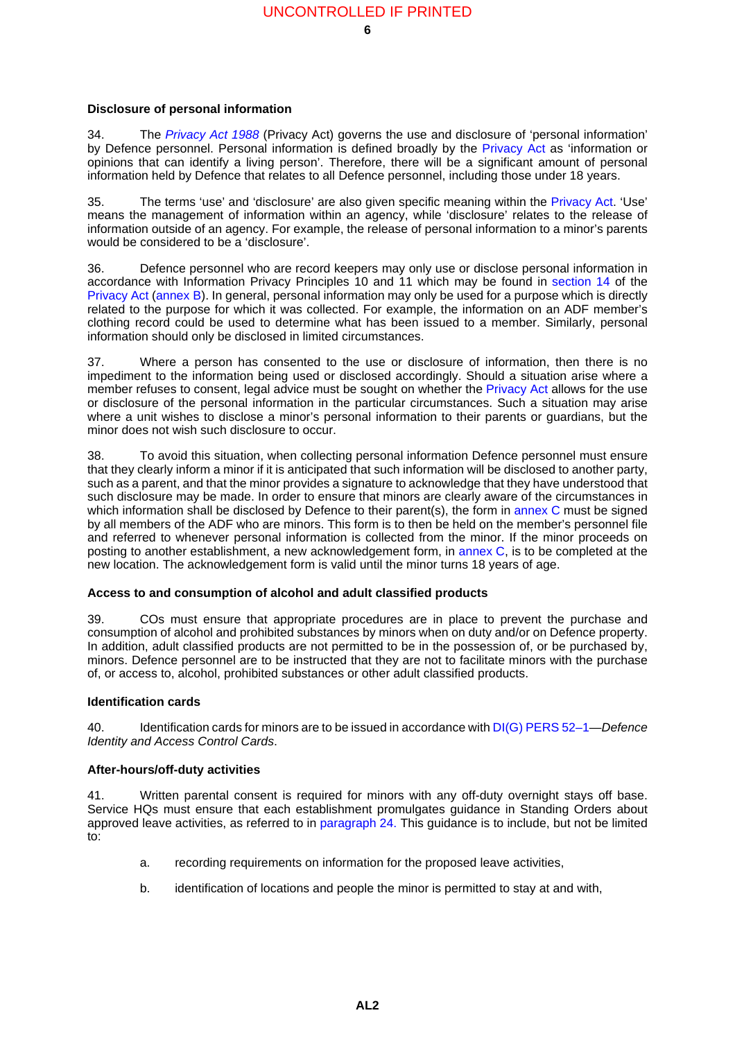### **Disclosure of personal information <sup>34</sup>**

<span id="page-7-0"></span>34. The *[Privacy Act 1988](http://www.austlii.edu.au/au/legis/cth/consol_act/pa1988108/)* (Privacy Act) governs the use and disclosure of 'personal information' by Defence personnel. Personal information is defined broadly by the [Privacy Act](http://www.austlii.edu.au/au/legis/cth/consol_act/pa1988108/) as 'information or opinions that can identify a living person'. Therefore, there will be a significant amount of personal information held by Defence that relates to all Defence personnel, including those under 18 years.

35. The terms 'use' and 'disclosure' are also given specific meaning within the [Privacy Act](http://www.austlii.edu.au/au/legis/cth/consol_act/pa1988108/). 'Use' means the management of information within an agency, while 'disclosure' relates to the release of information outside of an agency. For example, the release of personal information to a minor's parents would be considered to be a 'disclosure'.

36. Defence personnel who are record keepers may only use or disclose personal information in accordance with Information Privacy Principles 10 and 11 which may be found in [section 14](http://www.austlii.edu.au/au/legis/cth/consol_act/pa1988108/s14.html) of the [Privacy Act](http://www.austlii.edu.au/au/legis/cth/consol_act/pa1988108/) [\(annex](#page-14-0) B). In general, personal information may only be used for a purpose which is directly related to the purpose for which it was collected. For example, the information on an ADF member's clothing record could be used to determine what has been issued to a member. Similarly, personal information should only be disclosed in limited circumstances.

37. Where a person has consented to the use or disclosure of information, then there is no impediment to the information being used or disclosed accordingly. Should a situation arise where a member refuses to consent, legal advice must be sought on whether the [Privacy Act](http://www.austlii.edu.au/au/legis/cth/consol_act/pa1988108/) allows for the use or disclosure of the personal information in the particular circumstances. Such a situation may arise where a unit wishes to disclose a minor's personal information to their parents or guardians, but the minor does not wish such disclosure to occur.

38. To avoid this situation, when collecting personal information Defence personnel must ensure that they clearly inform a minor if it is anticipated that such information will be disclosed to another party, such as a parent, and that the minor provides a signature to acknowledge that they have understood that such disclosure may be made. In order to ensure that minors are clearly aware of the circumstances in which information shall be disclosed by Defence to their parent(s), the form in [annex](#page-16-0) C must be signed by all members of the ADF who are minors. This form is to then be held on the member's personnel file and referred to whenever personal information is collected from the minor. If the minor proceeds on posting to another establishment, a new acknowledgement form, in [annex](#page-16-0) C, is to be completed at the new location. The acknowledgement form is valid until the minor turns 18 years of age.

# **Access to and consumption of alcohol and adult classified products <sup>39</sup>**

39. COs must ensure that appropriate procedures are in place to prevent the purchase and consumption of alcohol and prohibited substances by minors when on duty and/or on Defence property. In addition, adult classified products are not permitted to be in the possession of, or be purchased by, minors. Defence personnel are to be instructed that they are not to facilitate minors with the purchase of, or access to, alcohol, prohibited substances or other adult classified products.

### **Identification cards**

40. Identification cards for minors are to be issued in accordance with [DI\(G\) PERS 52–1](http://defweb.cbr.defence.gov.au/home/documents/data/ADFPUBS/DIG/GP52_1.PDF)—*Defence Identity and Access Control Cards*.

# **After-hours/off-duty activities <sup>41</sup>**

41. Written parental consent is required for minors with any off-duty overnight stays off base. Service HQs must ensure that each establishment promulgates guidance in Standing Orders about approved leave activities, as referred to in [paragraph](#page-5-0) 24. This guidance is to include, but not be limited to:

- a. recording requirements on information for the proposed leave activities,
- b. identification of locations and people the minor is permitted to stay at and with,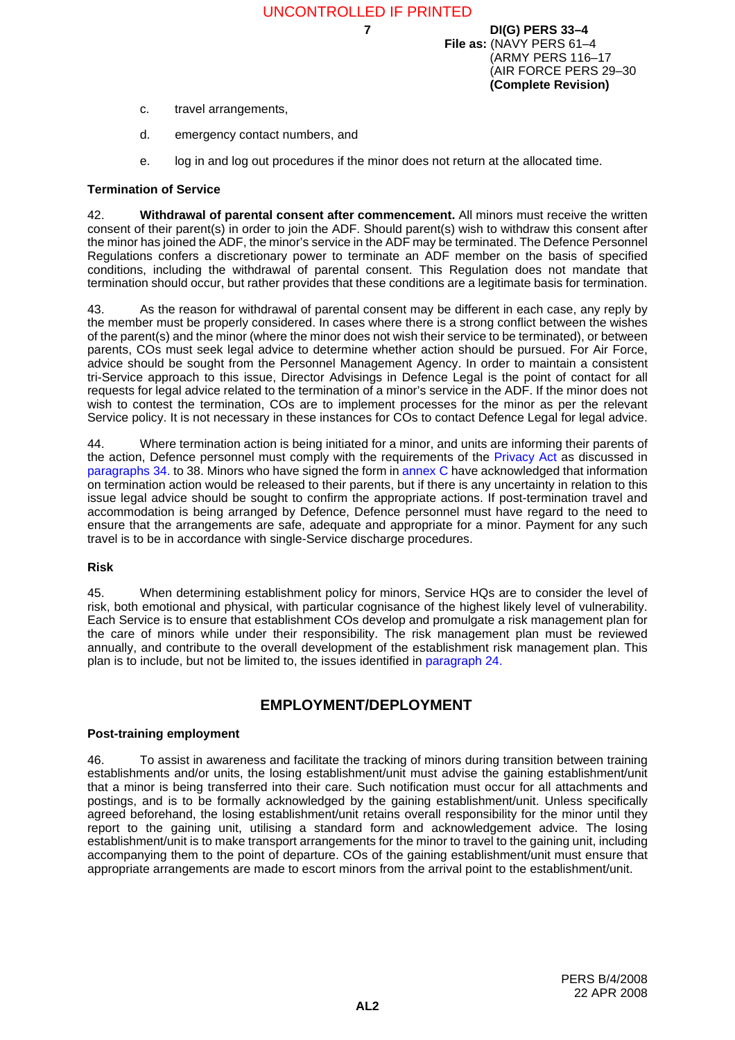- c. travel arrangements,
- d. emergency contact numbers, and
- e. log in and log out procedures if the minor does not return at the allocated time.

#### **Termination of Service**

42. **Withdrawal of parental consent after commencement.** All minors must receive the written consent of their parent(s) in order to join the ADF. Should parent(s) wish to withdraw this consent after the minor has joined the ADF, the minor's service in the ADF may be terminated. The Defence Personnel Regulations confers a discretionary power to terminate an ADF member on the basis of specified conditions, including the withdrawal of parental consent. This Regulation does not mandate that termination should occur, but rather provides that these conditions are a legitimate basis for termination.

43. As the reason for withdrawal of parental consent may be different in each case, any reply by the member must be properly considered. In cases where there is a strong conflict between the wishes of the parent(s) and the minor (where the minor does not wish their service to be terminated), or between parents, COs must seek legal advice to determine whether action should be pursued. For Air Force, advice should be sought from the Personnel Management Agency. In order to maintain a consistent tri-Service approach to this issue, Director Advisings in Defence Legal is the point of contact for all requests for legal advice related to the termination of a minor's service in the ADF. If the minor does not wish to contest the termination, COs are to implement processes for the minor as per the relevant Service policy. It is not necessary in these instances for COs to contact Defence Legal for legal advice.

44. Where termination action is being initiated for a minor, and units are informing their parents of the action, Defence personnel must comply with the requirements of the [Privacy Act](http://www.austlii.edu.au/au/legis/cth/consol_act/pa1988108/) as discussed in [paragraphs](#page-7-0) 34. to 38. Minors who have signed the form in [annex](#page-16-0) C have acknowledged that information on termination action would be released to their parents, but if there is any uncertainty in relation to this issue legal advice should be sought to confirm the appropriate actions. If post-termination travel and accommodation is being arranged by Defence, Defence personnel must have regard to the need to ensure that the arrangements are safe, adequate and appropriate for a minor. Payment for any such travel is to be in accordance with single-Service discharge procedures.

#### **Risk <sup>45</sup>**

45. When determining establishment policy for minors, Service HQs are to consider the level of risk, both emotional and physical, with particular cognisance of the highest likely level of vulnerability. Each Service is to ensure that establishment COs develop and promulgate a risk management plan for the care of minors while under their responsibility. The risk management plan must be reviewed annually, and contribute to the overall development of the establishment risk management plan. This plan is to include, but not be limited to, the issues identified in [paragraph](#page-5-0) 24.

# **EMPLOYMENT/DEPLOYMENT <sup>46</sup>**

#### **Post-training employment <sup>46</sup>**

46. To assist in awareness and facilitate the tracking of minors during transition between training establishments and/or units, the losing establishment/unit must advise the gaining establishment/unit that a minor is being transferred into their care. Such notification must occur for all attachments and postings, and is to be formally acknowledged by the gaining establishment/unit. Unless specifically agreed beforehand, the losing establishment/unit retains overall responsibility for the minor until they report to the gaining unit, utilising a standard form and acknowledgement advice. The losing establishment/unit is to make transport arrangements for the minor to travel to the gaining unit, including accompanying them to the point of departure. COs of the gaining establishment/unit must ensure that appropriate arrangements are made to escort minors from the arrival point to the establishment/unit.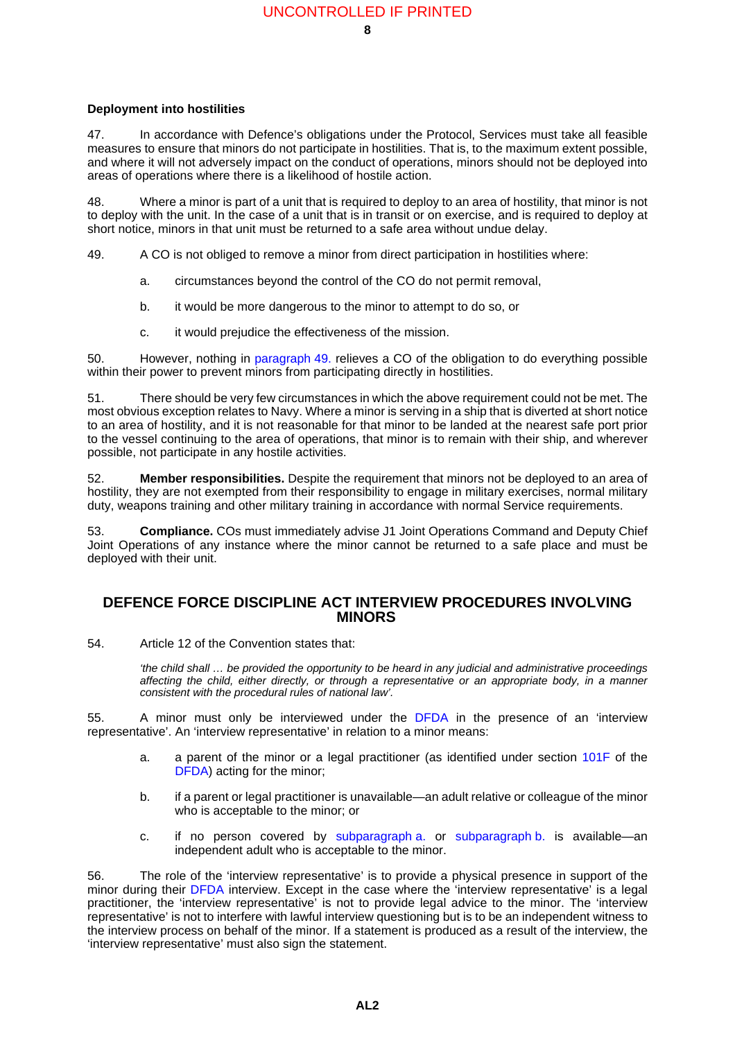#### **Deployment into hostilities <sup>47</sup>**

47. In accordance with Defence's obligations under the Protocol, Services must take all feasible measures to ensure that minors do not participate in hostilities. That is, to the maximum extent possible, and where it will not adversely impact on the conduct of operations, minors should not be deployed into areas of operations where there is a likelihood of hostile action.

48. Where a minor is part of a unit that is required to deploy to an area of hostility, that minor is not to deploy with the unit. In the case of a unit that is in transit or on exercise, and is required to deploy at short notice, minors in that unit must be returned to a safe area without undue delay.

<span id="page-9-0"></span>49. A CO is not obliged to remove a minor from direct participation in hostilities where:

- a. circumstances beyond the control of the CO do not permit removal,
- b. it would be more dangerous to the minor to attempt to do so, or
- c. it would prejudice the effectiveness of the mission.

50. However, nothing in [paragraph](#page-9-0) 49. relieves a CO of the obligation to do everything possible within their power to prevent minors from participating directly in hostilities.

51. There should be very few circumstances in which the above requirement could not be met. The most obvious exception relates to Navy. Where a minor is serving in a ship that is diverted at short notice to an area of hostility, and it is not reasonable for that minor to be landed at the nearest safe port prior to the vessel continuing to the area of operations, that minor is to remain with their ship, and wherever possible, not participate in any hostile activities.

52. **Member responsibilities.** Despite the requirement that minors not be deployed to an area of hostility, they are not exempted from their responsibility to engage in military exercises, normal military duty, weapons training and other military training in accordance with normal Service requirements.

53. **Compliance.** COs must immediately advise J1 Joint Operations Command and Deputy Chief Joint Operations of any instance where the minor cannot be returned to a safe place and must be deployed with their unit.

# **DEFENCE FORCE DISCIPLINE ACT INTERVIEW PROCEDURES INVOLVING MINORS <sup>54</sup>**

54. Article 12 of the Convention states that:

*'the child shall … be provided the opportunity to be heard in any judicial and administrative proceedings affecting the child, either directly, or through a representative or an appropriate body, in a manner consistent with the procedural rules of national law'.*

<span id="page-9-1"></span>55. A minor must only be interviewed under the [DFDA](http://www.austlii.edu.au/au/legis/cth/consol_act/dfda1982188/) in the presence of an 'interview representative'. An 'interview representative' in relation to a minor means:

- a. a parent of the minor or a legal practitioner (as identified under section [101F](http://www.austlii.edu.au/au/legis/cth/consol_act/dfda1982188/s101f.html) of the [DFDA\)](http://www.austlii.edu.au/au/legis/cth/consol_act/dfda1982188/) acting for the minor;
- <span id="page-9-2"></span>b. if a parent or legal practitioner is unavailable—an adult relative or colleague of the minor who is acceptable to the minor; or
- c. if no person covered by [subparagraph](#page-9-1) a. or [subparagraph](#page-9-2) b. is available—an independent adult who is acceptable to the minor.

56. The role of the 'interview representative' is to provide a physical presence in support of the minor during their [DFDA](http://www.austlii.edu.au/au/legis/cth/consol_act/dfda1982188/) interview. Except in the case where the 'interview representative' is a legal practitioner, the 'interview representative' is not to provide legal advice to the minor. The 'interview representative' is not to interfere with lawful interview questioning but is to be an independent witness to the interview process on behalf of the minor. If a statement is produced as a result of the interview, the 'interview representative' must also sign the statement.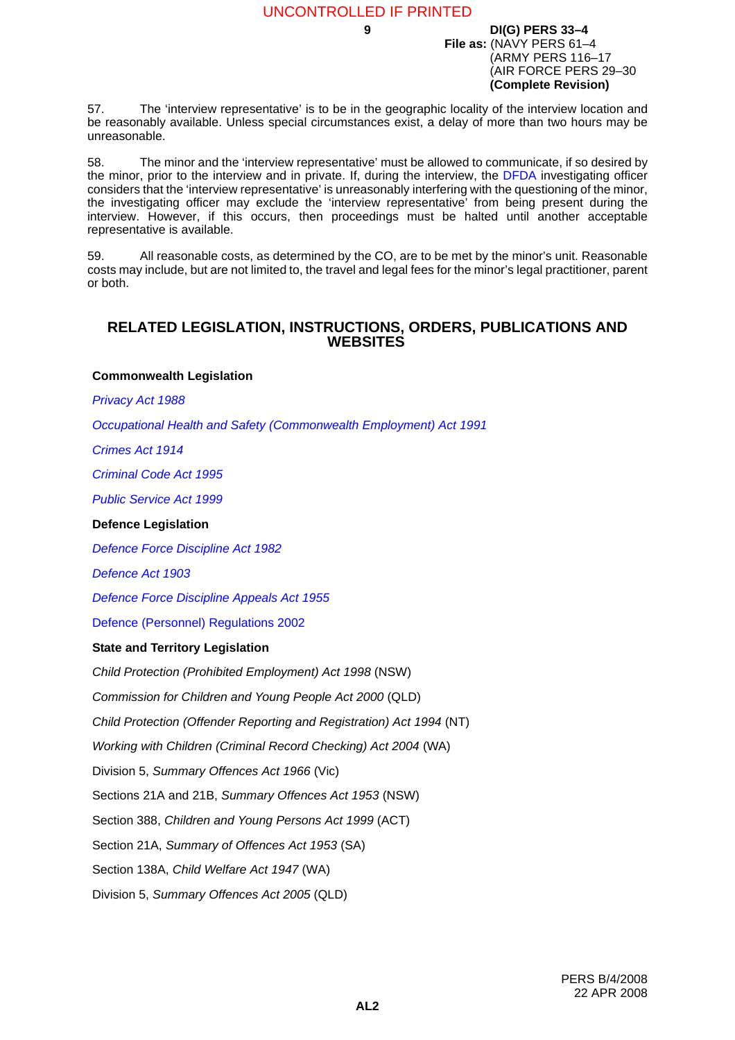57. The 'interview representative' is to be in the geographic locality of the interview location and be reasonably available. Unless special circumstances exist, a delay of more than two hours may be unreasonable.

58. The minor and the 'interview representative' must be allowed to communicate, if so desired by the minor, prior to the interview and in private. If, during the interview, the [DFDA](http://www.austlii.edu.au/au/legis/cth/consol_act/dfda1982188/) investigating officer considers that the 'interview representative' is unreasonably interfering with the questioning of the minor, the investigating officer may exclude the 'interview representative' from being present during the interview. However, if this occurs, then proceedings must be halted until another acceptable representative is available.

59. All reasonable costs, as determined by the CO, are to be met by the minor's unit. Reasonable costs may include, but are not limited to, the travel and legal fees for the minor's legal practitioner, parent or both.

### **RELATED LEGISLATION, INSTRUCTIONS, ORDERS, PUBLICATIONS AND WEBSITES <sup>60</sup>**

#### **Commonwealth Legislation**

*[Privacy Act 1988](http://www.austlii.edu.au/au/legis/cth/consol_act/pa1988108/)*

*[Occupational Health and Safety \(Commonwealth Employment\) Act 1991](http://www.austlii.edu.au/au/legis/cth/num_act/ohasea1991531/)*

*[Crimes Act 1914](http://www.austlii.edu.au/au/legis/cth/consol_act/ca191482/)*

*[Criminal Code Act 1995](http://www.austlii.edu.au/au/legis/cth/consol_act/cca1995115/)*

*[Public Service Act 1999](http://www.austlii.edu.au/au/legis/cth/consol_act/psa1999152/)*

#### **Defence Legislation**

*[Defence Force Discipline Act 1982](http://www.austlii.edu.au/au/legis/cth/consol_act/dfda1982188/)*

*[Defence Act 1903](http://www.austlii.edu.au/au/legis/cth/consol_act/da190356/)*

*[Defence Force Discipline Appeals Act 1955](http://www.austlii.edu.au/au/legis/cth/consol_act/dfdaa1955251/)*

[Defence \(Personnel\) Regulations 2002](http://www.comlaw.gov.au/ComLaw/Legislation/LegislativeInstrumentCompilation1.nsf/0/7FD6C09F2A0A84BDCA257369007ED0F0/$file/DefPersonel2002.pdf)

#### **State and Territory Legislation**

*Child Protection (Prohibited Employment) Act 1998* (NSW)

*Commission for Children and Young People Act 2000* (QLD)

*Child Protection (Offender Reporting and Registration) Act 1994* (NT)

*Working with Children (Criminal Record Checking) Act 2004* (WA)

Division 5, *Summary Offences Act 1966* (Vic)

Sections 21A and 21B, *Summary Offences Act 1953* (NSW)

Section 388, *Children and Young Persons Act 1999* (ACT)

Section 21A, *Summary of Offences Act 1953* (SA)

Section 138A, *Child Welfare Act 1947* (WA)

Division 5, *Summary Offences Act 2005* (QLD)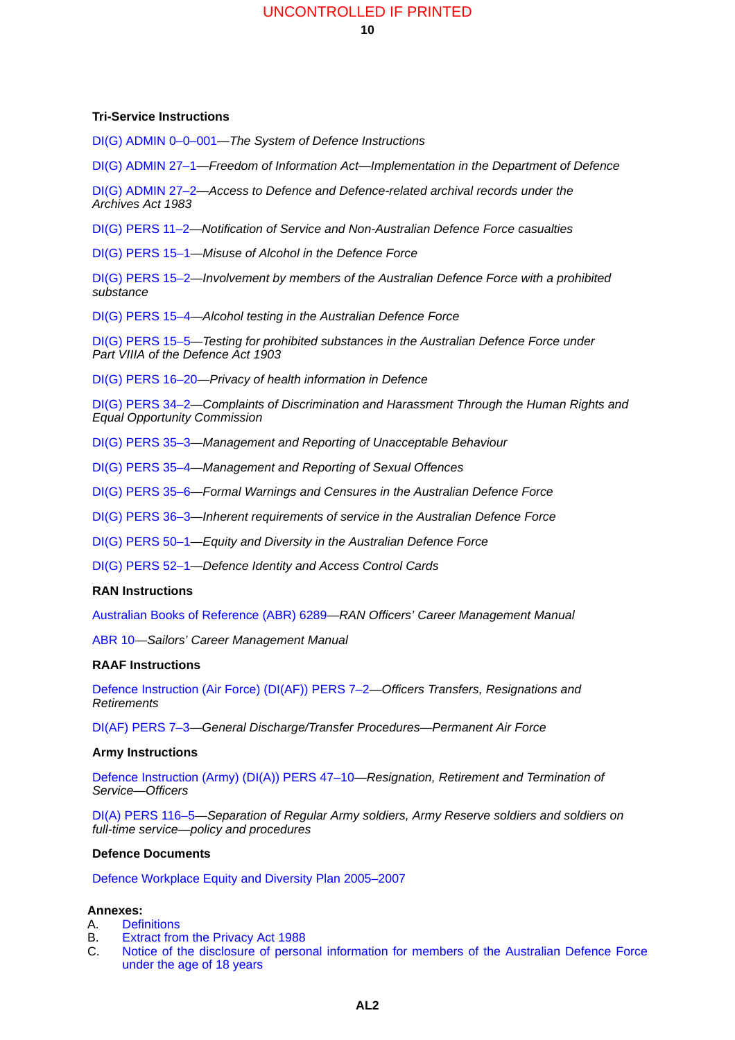#### UNCONTROLLED IF PRINTED

#### **Tri-Service Instructions**

[DI\(G\) ADMIN 0–0–001—](http://defweb.cbr.defence.gov.au/home/documents/DATA/ADFPUBS/DIG/GA0_0_001.PDF)*The System of Defence Instructions*

[DI\(G\) ADMIN 27–1](http://defweb.cbr.defence.gov.au/home/documents/DATA/ADFPUBS/DIG/DIA27_1.PDF)—*Freedom of Information Act—Implementation in the Department of Defence*

[DI\(G\) ADMIN 27–2](http://defweb.cbr.defence.gov.au/home/documents/DATA/ADFPUBS/DIG/GA27_02.PDF)—*Access to Defence and Defence-related archival records under the Archives Act 1983*

[DI\(G\) PERS 11–2](http://defweb.cbr.defence.gov.au/home/documents/DATA/ADFPUBS/DIG/GP11_02.PDF)—*Notification of Service and Non-Australian Defence Force casualties*

[DI\(G\) PERS 15–1](http://defweb.cbr.defence.gov.au/home/documents/DATA/ADFPUBS/DIG/DIP15_1.PDF)—*Misuse of Alcohol in the Defence Force*

[DI\(G\) PERS 15–2](http://defweb.cbr.defence.gov.au/home/documents/DATA/ADFPUBS/DIG/GP15_02.PDF)—*Involvement by members of the Australian Defence Force with a prohibited substance*

[DI\(G\) PERS 15–4](http://defweb.cbr.defence.gov.au/home/documents/DATA/ADFPUBS/DIG/gp15_04.pdf)—*Alcohol testing in the Australian Defence Force*

[DI\(G\) PERS 15–5](http://defweb.cbr.defence.gov.au/home/documents/DATA/ADFPUBS/DIG/gp15_5.pdf)—*Testing for prohibited substances in the Australian Defence Force under Part VIIIA of the Defence Act 1903*

[DI\(G\) PERS 16–20—](http://defweb.cbr.defence.gov.au/home/documents/DATA/ADFPUBS/DIG/gp16_20.PDF)*Privacy of health information in Defence*

[DI\(G\) PERS 34–2](http://defweb.cbr.defence.gov.au/home/documents/DATA/ADFPUBS/DIG/DIP34_2.PDF)—*Complaints of Discrimination and Harassment Through the Human Rights and Equal Opportunity Commission*

[DI\(G\) PERS 35–3](http://defweb.cbr.defence.gov.au/home/documents/DATA/ADFPUBS/DIG/GP35_03.PDF)—*Management and Reporting of Unacceptable Behaviour*

[DI\(G\) PERS 35–4](http://defweb.cbr.defence.gov.au/home/documents/DATA/ADFPUBS/DIG/GP35_04.PDF)—*Management and Reporting of Sexual Offences*

[DI\(G\) PERS 35–6](http://defweb.cbr.defence.gov.au/home/documents/DATA/ADFPUBS/DIG/GP35_6.PDF)—*Formal Warnings and Censures in the Australian Defence Force*

[DI\(G\) PERS 36–3](http://defweb.cbr.defence.gov.au/home/documents/DATA/ADFPUBS/DIG/GP36_03.PDF)—*Inherent requirements of service in the Australian Defence Force*

[DI\(G\) PERS 50–1](http://defweb.cbr.defence.gov.au/home/documents/data/ADFPUBS/DIG/gp50_1.pdf)—*Equity and Diversity in the Australian Defence Force*

[DI\(G\) PERS 52–1](http://defweb.cbr.defence.gov.au/home/documents/data/ADFPUBS/DIG/GP52_1.PDF)—*Defence Identity and Access Control Cards*

#### **RAN Instructions**

[Australian Books of Reference \(ABR\) 6289—](http://defweb.cbr.defence.gov.au/home/documents/navy/abr6289.htm)*RAN Officers' Career Management Manual*

[ABR 10](http://defweb.cbr.defence.gov.au/home/documents/navy/abr10con.htm)—*Sailors' Career Management Manual*

#### **RAAF Instructions**

[Defence Instruction \(Air Force\) \(DI\(AF\)\) PERS 7–2](http://defweb.cbr.defence.gov.au/home/documents/DATA/RAAFPUBS/DIAF/AFP7_2.PDF)—*Officers Transfers, Resignations and Retirements*

[DI\(AF\) PERS 7–3—](http://defweb.cbr.defence.gov.au/home/documents/DATA/RAAFPUBS/DIAF/AFP7_3.PDF)*General Discharge/Transfer Procedures—Permanent Air Force*

#### **Army Instructions**

[Defence Instruction \(Army\) \(DI\(A\)\) PERS 47–10—](http://defweb.cbr.defence.gov.au/home/documents/DATA/ARMYPUBS/DIA/AP47_10.PDF)*Resignation, Retirement and Termination of Service—Officers*

[DI\(A\) PERS 116–5—](http://defweb.cbr.defence.gov.au/home/documents/DATA/ARMYPUBS/DIA/AP116_5.PDF)*Separation of Regular Army soldiers, Army Reserve soldiers and soldiers on full-time service—policy and procedures*

#### **Defence Documents**

[Defence Workplace Equity and Diversity Plan 2005–2007](http://intranet.defence.gov.au/fr/publications/wedp%2005-07.pdf)

#### **Annexes:**

- A. [Definitions](#page-12-0)
- B. [Extract from the Privacy Act 1988](#page-14-0)
- C. [Notice of the disclosure of personal information for members of the Australian Defence Force](#page-16-0) [under the age of 18 years](#page-16-0)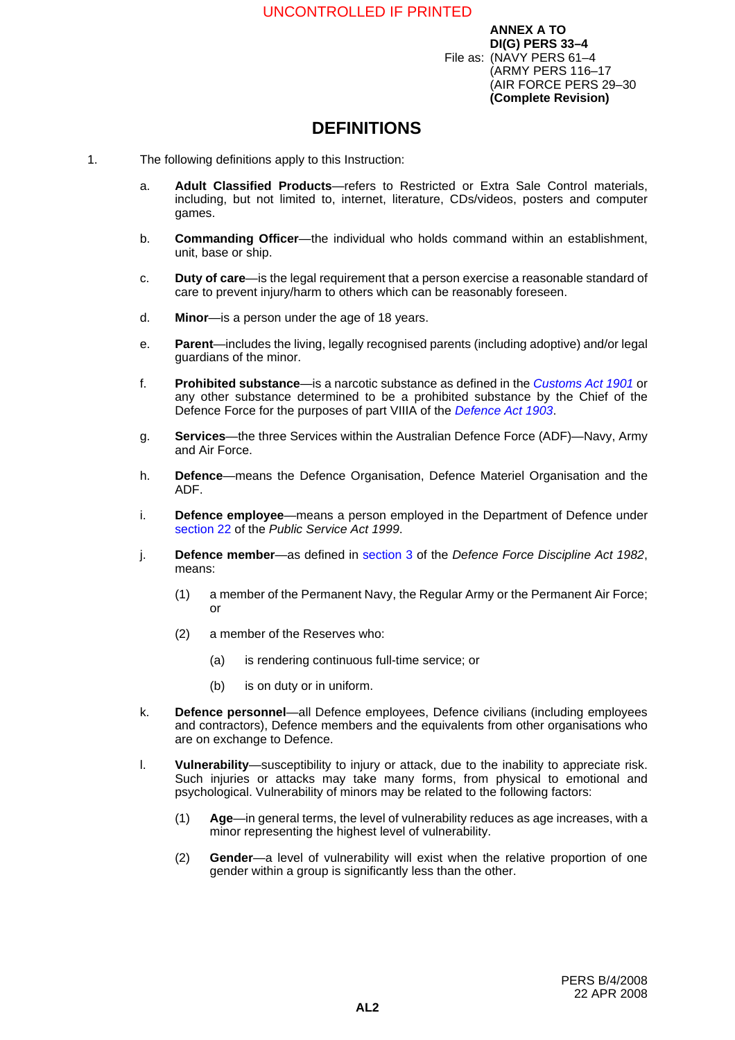# <span id="page-12-0"></span>**DEFINITIONS**

- 1. The following definitions apply to this Instruction:
	- a. **Adult Classified Products**—refers to Restricted or Extra Sale Control materials, including, but not limited to, internet, literature, CDs/videos, posters and computer games.
	- b. **Commanding Officer**—the individual who holds command within an establishment, unit, base or ship.
	- c. **Duty of care**—is the legal requirement that a person exercise a reasonable standard of care to prevent injury/harm to others which can be reasonably foreseen.
	- d. **Minor**—is a person under the age of 18 years.
	- e. **Parent**—includes the living, legally recognised parents (including adoptive) and/or legal guardians of the minor.
	- f. **Prohibited substance**—is a narcotic substance as defined in the *[Customs Act 1901](http://www.austlii.edu.au/au/legis/cth/consol_act/ca1901124/)* or any other substance determined to be a prohibited substance by the Chief of the Defence Force for the purposes of part VIIIA of the *[Defence Act 1903](http://www.austlii.edu.au/au/legis/cth/consol_act/da190356/)*.
	- g. **Services**—the three Services within the Australian Defence Force (ADF)—Navy, Army and Air Force.
	- h. **Defence**—means the Defence Organisation, Defence Materiel Organisation and the ADF.
	- i. **Defence employee**—means a person employed in the Department of Defence under [section 22](http://www.austlii.edu.au/au/legis/cth/consol_act/psa1999152/s22.html) of the *Public Service Act 1999*.
	- j. **Defence member**—as defined in [section 3](http://www.austlii.edu.au/au/legis/cth/consol_act/dfda1982188/s3.html) of the *Defence Force Discipline Act 1982*, means:
		- (1) a member of the Permanent Navy, the Regular Army or the Permanent Air Force; or
		- (2) a member of the Reserves who:
			- (a) is rendering continuous full-time service; or
			- (b) is on duty or in uniform.
	- k. **Defence personnel**—all Defence employees, Defence civilians (including employees and contractors), Defence members and the equivalents from other organisations who are on exchange to Defence.
	- l. **Vulnerability**—susceptibility to injury or attack, due to the inability to appreciate risk. Such injuries or attacks may take many forms, from physical to emotional and psychological. Vulnerability of minors may be related to the following factors:
		- (1) **Age**—in general terms, the level of vulnerability reduces as age increases, with a minor representing the highest level of vulnerability.
		- (2) **Gender**—a level of vulnerability will exist when the relative proportion of one gender within a group is significantly less than the other.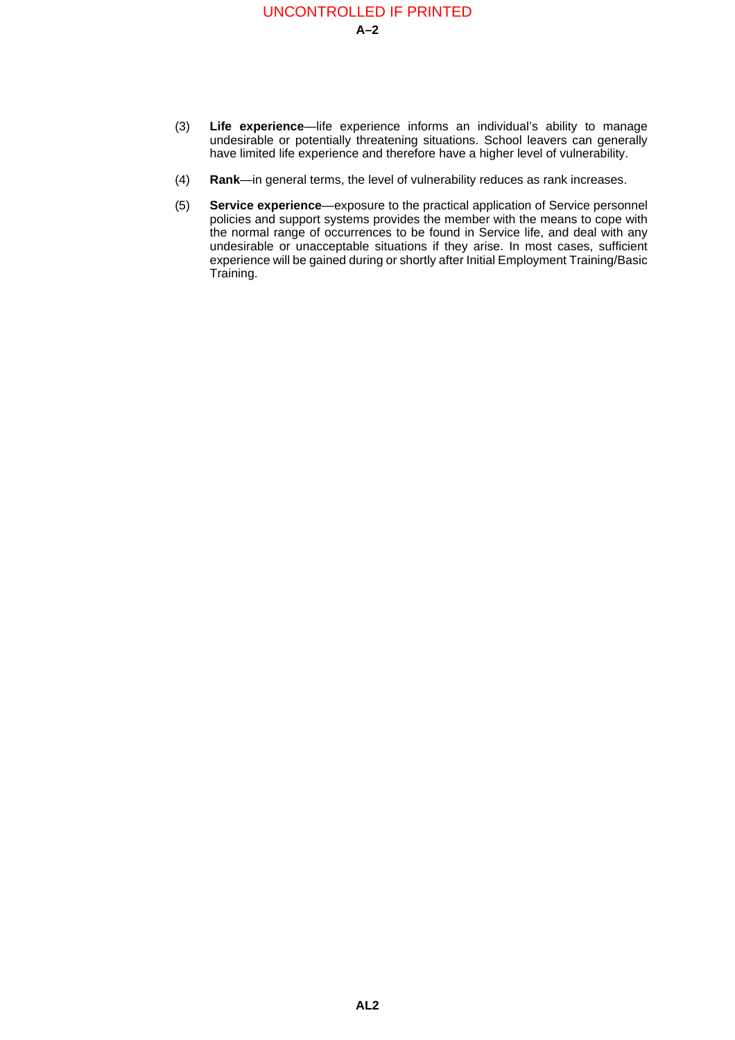# **A–2** UNCONTROLLED IF PRINTED

- (3) **Life experience**—life experience informs an individual's ability to manage undesirable or potentially threatening situations. School leavers can generally have limited life experience and therefore have a higher level of vulnerability.
- (4) **Rank**—in general terms, the level of vulnerability reduces as rank increases.
- (5) **Service experience**—exposure to the practical application of Service personnel policies and support systems provides the member with the means to cope with the normal range of occurrences to be found in Service life, and deal with any undesirable or unacceptable situations if they arise. In most cases, sufficient experience will be gained during or shortly after Initial Employment Training/Basic Training.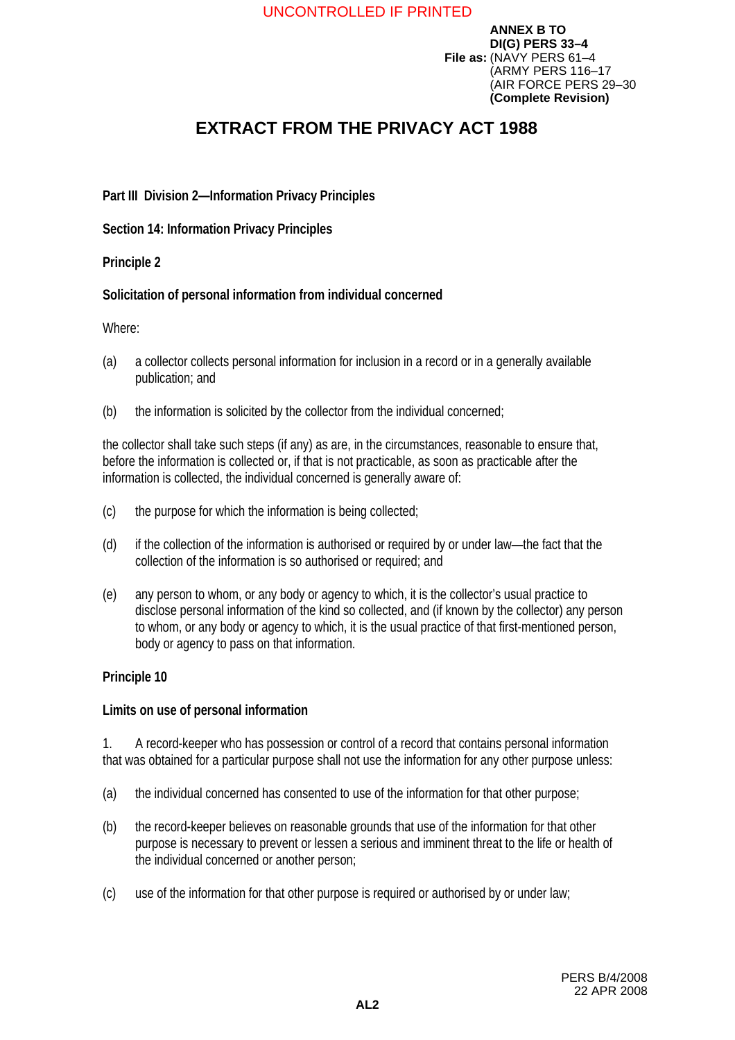# <span id="page-14-0"></span>**EXTRACT FROM THE PRIVACY ACT 1988**

# **Part III Division 2—Information Privacy Principles**

**Section 14: Information Privacy Principles** 

### **Principle 2**

# **Solicitation of personal information from individual concerned**

### Where:

- (a) a collector collects personal information for inclusion in a record or in a generally available publication; and
- (b) the information is solicited by the collector from the individual concerned;

the collector shall take such steps (if any) as are, in the circumstances, reasonable to ensure that, before the information is collected or, if that is not practicable, as soon as practicable after the information is collected, the individual concerned is generally aware of:

- (c) the purpose for which the information is being collected;
- (d) if the collection of the information is authorised or required by or under law—the fact that the collection of the information is so authorised or required; and
- (e) any person to whom, or any body or agency to which, it is the collector's usual practice to disclose personal information of the kind so collected, and (if known by the collector) any person to whom, or any body or agency to which, it is the usual practice of that first-mentioned person, body or agency to pass on that information.

# **Principle 10**

### **Limits on use of personal information**

1. A record-keeper who has possession or control of a record that contains personal information that was obtained for a particular purpose shall not use the information for any other purpose unless:

- (a) the individual concerned has consented to use of the information for that other purpose;
- (b) the record-keeper believes on reasonable grounds that use of the information for that other purpose is necessary to prevent or lessen a serious and imminent threat to the life or health of the individual concerned or another person;
- (c) use of the information for that other purpose is required or authorised by or under law;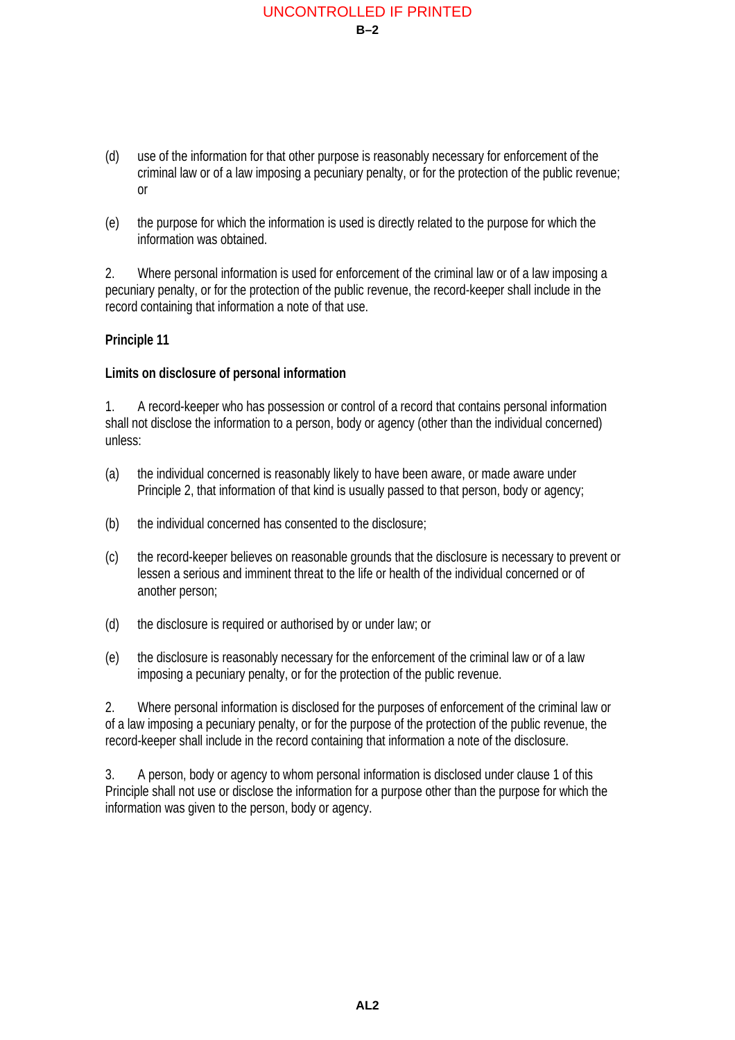# **B–2** UNCONTROLLED IF PRINTED

- (d) use of the information for that other purpose is reasonably necessary for enforcement of the criminal law or of a law imposing a pecuniary penalty, or for the protection of the public revenue; or
- (e) the purpose for which the information is used is directly related to the purpose for which the information was obtained.

2. Where personal information is used for enforcement of the criminal law or of a law imposing a pecuniary penalty, or for the protection of the public revenue, the record-keeper shall include in the record containing that information a note of that use.

# **Principle 11**

### **Limits on disclosure of personal information**

1. A record-keeper who has possession or control of a record that contains personal information shall not disclose the information to a person, body or agency (other than the individual concerned) unless:

- (a) the individual concerned is reasonably likely to have been aware, or made aware under Principle 2, that information of that kind is usually passed to that person, body or agency;
- (b) the individual concerned has consented to the disclosure;
- (c) the record-keeper believes on reasonable grounds that the disclosure is necessary to prevent or lessen a serious and imminent threat to the life or health of the individual concerned or of another person;
- (d) the disclosure is required or authorised by or under law; or
- (e) the disclosure is reasonably necessary for the enforcement of the criminal law or of a law imposing a pecuniary penalty, or for the protection of the public revenue.

2. Where personal information is disclosed for the purposes of enforcement of the criminal law or of a law imposing a pecuniary penalty, or for the purpose of the protection of the public revenue, the record-keeper shall include in the record containing that information a note of the disclosure.

3. A person, body or agency to whom personal information is disclosed under clause 1 of this Principle shall not use or disclose the information for a purpose other than the purpose for which the information was given to the person, body or agency.